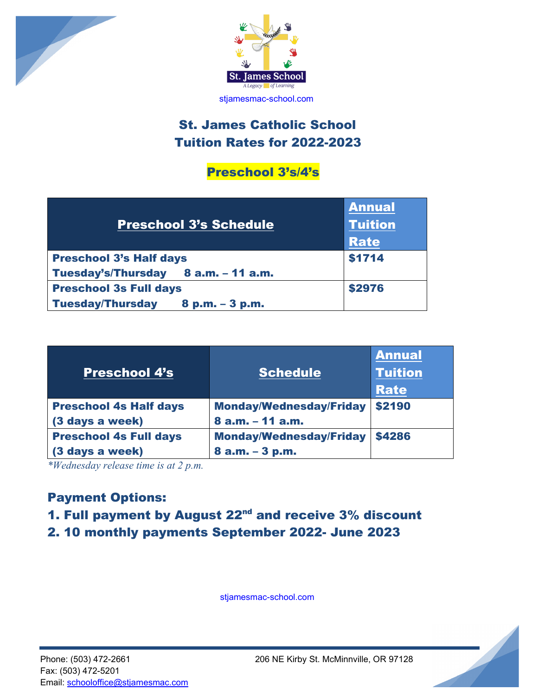



## **St. James Catholic School** Tuition Rates for 2022-2023

### Preschool 3's/4's

| <b>Preschool 3's Schedule</b>                | <b>Annual</b><br><b>Tuition</b><br><b>Rate</b> |
|----------------------------------------------|------------------------------------------------|
| <b>Preschool 3's Half days</b>               | \$1714                                         |
| Tuesday's/Thursday 8 a.m. - 11 a.m.          |                                                |
| <b>Preschool 3s Full days</b>                | \$2976                                         |
| <b>Tuesday/Thursday</b><br>$8 p.m. - 3 p.m.$ |                                                |

| <b>Preschool 4's</b>          | <b>Schedule</b>                | <b>Annual</b><br><b>Tuition</b><br><b>Rate</b> |
|-------------------------------|--------------------------------|------------------------------------------------|
| <b>Preschool 4s Half days</b> | <b>Monday/Wednesday/Friday</b> | \$2190                                         |
| (3 days a week)               | 8 a.m. - 11 a.m.               |                                                |
| <b>Preschool 4s Full days</b> | <b>Monday/Wednesday/Friday</b> | \$4286                                         |
| (3 days a week)               | 8 a.m. - 3 p.m.                |                                                |

*\*Wednesday release time is at 2 p.m.*

## Payment Options:

# 1. Full payment by August 22<sup>nd</sup> and receive 3% discount

2. 10 monthly payments September 2022- June 2023

stjamesmac-school.com